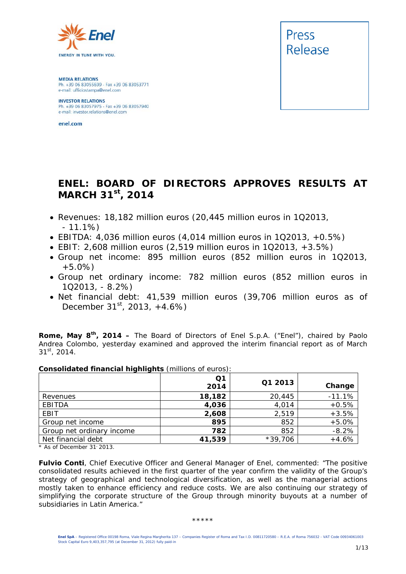

**MEDIA RELATIONS** Ph. +39 06 83055699 - Fax +39 06 83053771 e-mail: ufficiostampa@enel.com

**INVESTOR RELATIONS**<br>Ph. +39 06 83057975 - Fax +39 06 83057940 e-mail: investor.relations@enel.com

enel.com



# **ENEL: BOARD OF DIRECTORS APPROVES RESULTS AT MARCH 31st, 2014**

- *Revenues: 18,182 million euros (20,445 million euros in 1Q2013, - 11.1%)*
- *EBITDA: 4,036 million euros (4,014 million euros in 1Q2013, +0.5%)*
- *EBIT: 2,608 million euros (2,519 million euros in 1Q2013, +3.5%)*
- *Group net income: 895 million euros (852 million euros in 1Q2013, +5.0%)*
- *Group net ordinary income: 782 million euros (852 million euros in 1Q2013, - 8.2%)*
- *Net financial debt: 41,539 million euros (39,706 million euros as of December 31st, 2013, +4.6%)*

**Rome, May 8th, 2014 –** The Board of Directors of Enel S.p.A. ("Enel"), chaired by Paolo Andrea Colombo, yesterday examined and approved the interim financial report as of March 31st, 2014.

| Consolidated Inflancial Ingility (Think is of editor). |            |           |          |
|--------------------------------------------------------|------------|-----------|----------|
|                                                        | Q1<br>2014 | Q1 2013   | Change   |
| Revenues                                               | 18,182     | 20,445    | $-11.1%$ |
| EBITDA                                                 | 4,036      | 4,014     | $+0.5%$  |
| EBIT                                                   | 2,608      | 2,519     | $+3.5%$  |
| Group net income                                       | 895        | 852       | $+5.0%$  |
| Group net ordinary income                              | 782        | 852       | $-8.2%$  |
| Net financial debt                                     | 41,539     | $*39,706$ | $+4.6%$  |

**Consolidated financial highlights** (millions of euros):

*\* As of December 31, 2013.* 

**Fulvio Conti**, Chief Executive Officer and General Manager of Enel, commented: "*The positive consolidated results achieved in the first quarter of the year confirm the validity of the Group's strategy of geographical and technological diversification, as well as the managerial actions mostly taken to enhance efficiency and reduce costs. We are also continuing our strategy of simplifying the corporate structure of the Group through minority buyouts at a number of subsidiaries in Latin America."* 

#### \*\*\*\*\*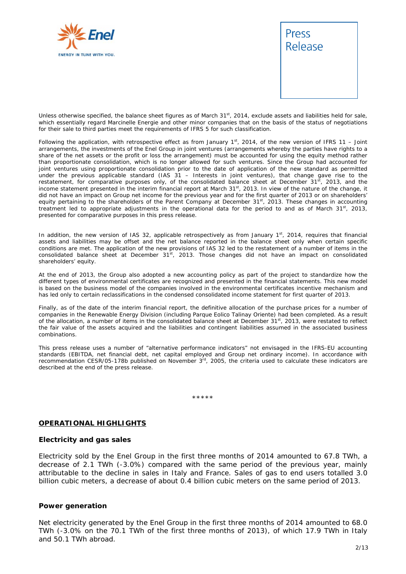



Unless otherwise specified, the balance sheet figures as of March 31<sup>st</sup>, 2014, exclude assets and liabilities held for sale, which essentially regard Marcinelle Energie and other minor companies that on the basis of the status of negotiations for their sale to third parties meet the requirements of IFRS 5 for such classification.

Following the application, with retrospective effect as from January  $1<sup>st</sup>$ , 2014, of the new version of IFRS 11 – Joint arrangements, the investments of the Enel Group in joint ventures (arrangements whereby the parties have rights to a share of the net assets or the profit or loss the arrangement) must be accounted for using the equity method rather than proportionate consolidation, which is no longer allowed for such ventures. Since the Group had accounted for joint ventures using proportionate consolidation prior to the date of application of the new standard as permitted under the previous applicable standard (IAS 31 – Interests in joint ventures), that change gave rise to the restatement, for comparative purposes only, of the consolidated balance sheet at December 31<sup>st</sup>, 2013, and the income statement presented in the interim financial report at March 31st, 2013. In view of the nature of the change, it did not have an impact on Group net income for the previous year and for the first quarter of 2013 or on shareholders' equity pertaining to the shareholders of the Parent Company at December 31<sup>st</sup>, 2013. These changes in accounting treatment led to appropriate adjustments in the operational data for the period to and as of March 31st, 2013, presented for comparative purposes in this press release.

In addition, the new version of IAS 32, applicable retrospectively as from January  $1<sup>st</sup>$ , 2014, requires that financial assets and liabilities may be offset and the net balance reported in the balance sheet only when certain specific conditions are met. The application of the new provisions of IAS 32 led to the restatement of a number of items in the consolidated balance sheet at December 31<sup>st</sup>, 2013. Those changes did not have an impact on consolidated shareholders' equity.

At the end of 2013, the Group also adopted a new accounting policy as part of the project to standardize how the different types of environmental certificates are recognized and presented in the financial statements. This new model is based on the business model of the companies involved in the environmental certificates incentive mechanism and has led only to certain reclassifications in the condensed consolidated income statement for first quarter of 2013.

Finally, as of the date of the interim financial report, the definitive allocation of the purchase prices for a number of companies in the Renewable Energy Division (including Parque Eolico Talinay Oriente) had been completed. As a result of the allocation, a number of items in the consolidated balance sheet at December 31<sup>st</sup>, 2013, were restated to reflect the fair value of the assets acquired and the liabilities and contingent liabilities assumed in the associated business combinations.

This press release uses a number of "alternative performance indicators" not envisaged in the IFRS-EU accounting standards (EBITDA, net financial debt, net capital employed and Group net ordinary income). In accordance with recommendation CESR/05-178b published on November 3rd, 2005, the criteria used to calculate these indicators are described at the end of the press release.

\*\*\*\*\*

#### **OPERATIONAL HIGHLIGHTS**

#### **Electricity and gas sales**

Electricity sold by the Enel Group in the first three months of 2014 amounted to 67.8 TWh, a decrease of 2.1 TWh (-3.0%) compared with the same period of the previous year, mainly attributable to the decline in sales in Italy and France. Sales of gas to end users totalled 3.0 billion cubic meters, a decrease of about 0.4 billion cubic meters on the same period of 2013.

#### **Power generation**

Net electricity generated by the Enel Group in the first three months of 2014 amounted to 68.0 TWh (-3.0% on the 70.1 TWh of the first three months of 2013), of which 17.9 TWh in Italy and 50.1 TWh abroad.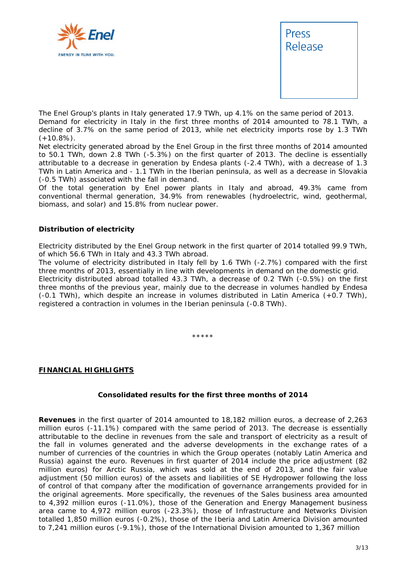



The Enel Group's plants in Italy generated 17.9 TWh, up 4.1% on the same period of 2013. Demand for electricity in Italy in the first three months of 2014 amounted to 78.1 TWh, a decline of 3.7% on the same period of 2013, while net electricity imports rose by 1.3 TWh  $(+10.8\%)$ .

Net electricity generated abroad by the Enel Group in the first three months of 2014 amounted to 50.1 TWh, down 2.8 TWh (-5.3%) on the first quarter of 2013. The decline is essentially attributable to a decrease in generation by Endesa plants (-2.4 TWh), with a decrease of 1.3 TWh in Latin America and - 1.1 TWh in the Iberian peninsula, as well as a decrease in Slovakia (-0.5 TWh) associated with the fall in demand.

Of the total generation by Enel power plants in Italy and abroad, 49.3% came from conventional thermal generation, 34.9% from renewables (hydroelectric, wind, geothermal, biomass, and solar) and 15.8% from nuclear power.

#### **Distribution of electricity**

Electricity distributed by the Enel Group network in the first quarter of 2014 totalled 99.9 TWh, of which 56.6 TWh in Italy and 43.3 TWh abroad.

The volume of electricity distributed in Italy fell by 1.6 TWh (-2.7%) compared with the first three months of 2013, essentially in line with developments in demand on the domestic grid. Electricity distributed abroad totalled 43.3 TWh, a decrease of 0.2 TWh (-0.5%) on the first three months of the previous year, mainly due to the decrease in volumes handled by Endesa (-0.1 TWh), which despite an increase in volumes distributed in Latin America (+0.7 TWh), registered a contraction in volumes in the Iberian peninsula (-0.8 TWh).

\*\*\*\*\*

#### **FINANCIAL HIGHLIGHTS**

#### **Consolidated results for the first three months of 2014**

**Revenues** in the first quarter of 2014 amounted to 18,182 million euros, a decrease of 2,263 million euros (-11.1%) compared with the same period of 2013. The decrease is essentially attributable to the decline in revenues from the sale and transport of electricity as a result of the fall in volumes generated and the adverse developments in the exchange rates of a number of currencies of the countries in which the Group operates (notably Latin America and Russia) against the euro. Revenues in first quarter of 2014 include the price adjustment (82 million euros) for Arctic Russia, which was sold at the end of 2013, and the fair value adjustment (50 million euros) of the assets and liabilities of SE Hydropower following the loss of control of that company after the modification of governance arrangements provided for in the original agreements. More specifically, the revenues of the Sales business area amounted to 4,392 million euros (-11.0%), those of the Generation and Energy Management business area came to 4,972 million euros (-23.3%), those of Infrastructure and Networks Division totalled 1,850 million euros (-0.2%), those of the Iberia and Latin America Division amounted to 7,241 million euros (-9.1%), those of the International Division amounted to 1,367 million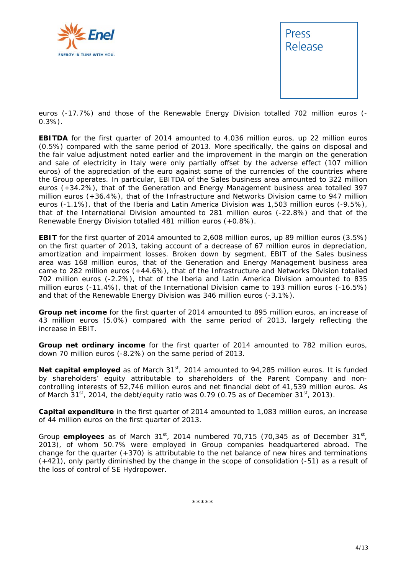



euros (-17.7%) and those of the Renewable Energy Division totalled 702 million euros (- 0.3%).

**EBITDA** for the first quarter of 2014 amounted to 4,036 million euros, up 22 million euros (0.5%) compared with the same period of 2013. More specifically, the gains on disposal and the fair value adjustment noted earlier and the improvement in the margin on the generation and sale of electricity in Italy were only partially offset by the adverse effect (107 million euros) of the appreciation of the euro against some of the currencies of the countries where the Group operates. In particular, EBITDA of the Sales business area amounted to 322 million euros (+34.2%), that of the Generation and Energy Management business area totalled 397 million euros (+36.4%), that of the Infrastructure and Networks Division came to 947 million euros (-1.1%), that of the Iberia and Latin America Division was 1,503 million euros (-9.5%), that of the International Division amounted to 281 million euros (-22.8%) and that of the Renewable Energy Division totalled 481 million euros (+0.8%).

**EBIT** for the first quarter of 2014 amounted to 2,608 million euros, up 89 million euros (3.5%) on the first quarter of 2013, taking account of a decrease of 67 million euros in depreciation, amortization and impairment losses. Broken down by segment, EBIT of the Sales business area was 168 million euros, that of the Generation and Energy Management business area came to 282 million euros (+44.6%), that of the Infrastructure and Networks Division totalled 702 million euros (-2.2%), that of the Iberia and Latin America Division amounted to 835 million euros (-11.4%), that of the International Division came to 193 million euros (-16.5%) and that of the Renewable Energy Division was 346 million euros (-3.1%).

**Group net income** for the first quarter of 2014 amounted to 895 million euros, an increase of 43 million euros (5.0%) compared with the same period of 2013, largely reflecting the increase in EBIT.

**Group net ordinary income** for the first quarter of 2014 amounted to 782 million euros, down 70 million euros (-8.2%) on the same period of 2013.

Net capital employed as of March 31<sup>st</sup>, 2014 amounted to 94,285 million euros. It is funded by shareholders' equity attributable to shareholders of the Parent Company and noncontrolling interests of 52,746 million euros and net financial debt of 41,539 million euros. As of March  $31<sup>st</sup>$ , 2014, the debt/equity ratio was 0.79 (0.75 as of December  $31<sup>st</sup>$ , 2013).

**Capital expenditure** in the first quarter of 2014 amounted to 1,083 million euros, an increase of 44 million euros on the first quarter of 2013.

Group **employees** as of March 31<sup>st</sup>, 2014 numbered 70,715 (70,345 as of December 31<sup>st</sup>, 2013), of whom 50.7% were employed in Group companies headquartered abroad. The change for the quarter (+370) is attributable to the net balance of new hires and terminations (+421), only partly diminished by the change in the scope of consolidation (-51) as a result of the loss of control of SE Hydropower.

\*\*\*\*\*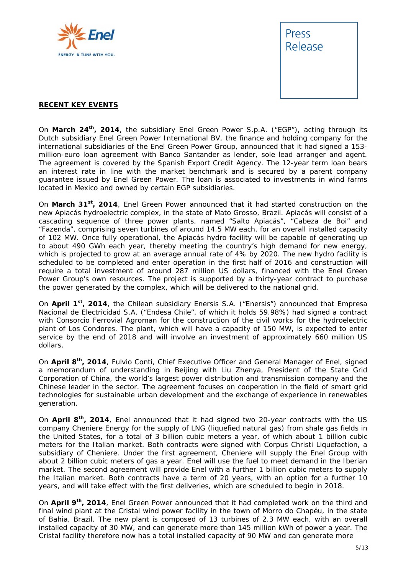



#### **RECENT KEY EVENTS**

On **March 24th, 2014**, the subsidiary Enel Green Power S.p.A. ("EGP"), acting through its Dutch subsidiary Enel Green Power International BV, the finance and holding company for the international subsidiaries of the Enel Green Power Group, announced that it had signed a 153 million-euro loan agreement with Banco Santander as lender, sole lead arranger and agent. The agreement is covered by the Spanish Export Credit Agency. The 12-year term loan bears an interest rate in line with the market benchmark and is secured by a parent company guarantee issued by Enel Green Power. The loan is associated to investments in wind farms located in Mexico and owned by certain EGP subsidiaries.

On **March 31st, 2014**, Enel Green Power announced that it had started construction on the new Apiacás hydroelectric complex, in the state of Mato Grosso, Brazil. Apiacás will consist of a cascading sequence of three power plants, named "Salto Apiacás", "Cabeza de Boi" and "Fazenda", comprising seven turbines of around 14.5 MW each, for an overall installed capacity of 102 MW. Once fully operational, the Apiacás hydro facility will be capable of generating up to about 490 GWh each year, thereby meeting the country's high demand for new energy, which is projected to grow at an average annual rate of 4% by 2020. The new hydro facility is scheduled to be completed and enter operation in the first half of 2016 and construction will require a total investment of around 287 million US dollars, financed with the Enel Green Power Group's own resources. The project is supported by a thirty-year contract to purchase the power generated by the complex, which will be delivered to the national grid.

On **April 1st, 2014**, the Chilean subsidiary Enersis S.A. ("Enersis") announced that Empresa Nacional de Electricidad S.A. ("Endesa Chile", of which it holds 59.98%) had signed a contract with Consorcio Ferrovial Agroman for the construction of the civil works for the hydroelectric plant of Los Condores. The plant, which will have a capacity of 150 MW, is expected to enter service by the end of 2018 and will involve an investment of approximately 660 million US dollars.

On **April 8th, 2014**, Fulvio Conti, Chief Executive Officer and General Manager of Enel, signed a memorandum of understanding in Beijing with Liu Zhenya, President of the State Grid Corporation of China, the world's largest power distribution and transmission company and the Chinese leader in the sector. The agreement focuses on cooperation in the field of smart grid technologies for sustainable urban development and the exchange of experience in renewables generation.

On **April 8th, 2014**, Enel announced that it had signed two 20-year contracts with the US company Cheniere Energy for the supply of LNG (liquefied natural gas) from shale gas fields in the United States, for a total of 3 billion cubic meters a year, of which about 1 billion cubic meters for the Italian market. Both contracts were signed with Corpus Christi Liquefaction, a subsidiary of Cheniere. Under the first agreement, Cheniere will supply the Enel Group with about 2 billion cubic meters of gas a year. Enel will use the fuel to meet demand in the Iberian market. The second agreement will provide Enel with a further 1 billion cubic meters to supply the Italian market. Both contracts have a term of 20 years, with an option for a further 10 years, and will take effect with the first deliveries, which are scheduled to begin in 2018.

On **April 9th, 2014**, Enel Green Power announced that it had completed work on the third and final wind plant at the Cristal wind power facility in the town of Morro do Chapéu, in the state of Bahia, Brazil. The new plant is composed of 13 turbines of 2.3 MW each, with an overall installed capacity of 30 MW, and can generate more than 145 million kWh of power a year. The Cristal facility therefore now has a total installed capacity of 90 MW and can generate more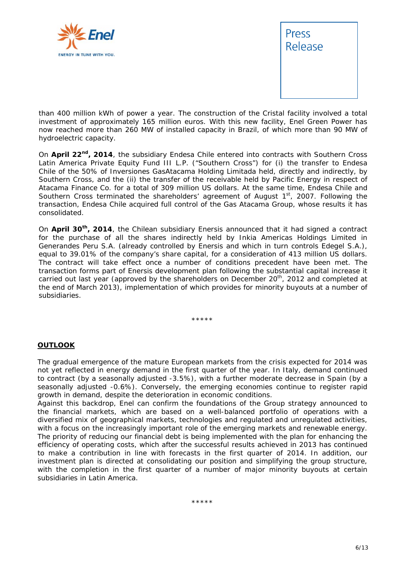



than 400 million kWh of power a year. The construction of the Cristal facility involved a total investment of approximately 165 million euros. With this new facility, Enel Green Power has now reached more than 260 MW of installed capacity in Brazil, of which more than 90 MW of hydroelectric capacity.

On **April 22nd, 2014**, the subsidiary Endesa Chile entered into contracts with Southern Cross Latin America Private Equity Fund III L.P. ("Southern Cross") for (i) the transfer to Endesa Chile of the 50% of Inversiones GasAtacama Holding Limitada held, directly and indirectly, by Southern Cross, and the (ii) the transfer of the receivable held by Pacific Energy in respect of Atacama Finance Co. for a total of 309 million US dollars. At the same time, Endesa Chile and Southern Cross terminated the shareholders' agreement of August  $1<sup>st</sup>$ , 2007. Following the transaction, Endesa Chile acquired full control of the Gas Atacama Group, whose results it has consolidated.

On **April 30th, 2014**, the Chilean subsidiary Enersis announced that it had signed a contract for the purchase of all the shares indirectly held by Inkia Americas Holdings Limited in Generandes Peru S.A. (already controlled by Enersis and which in turn controls Edegel S.A.), equal to 39.01% of the company's share capital, for a consideration of 413 million US dollars. The contract will take effect once a number of conditions precedent have been met. The transaction forms part of Enersis development plan following the substantial capital increase it carried out last year (approved by the shareholders on December 20<sup>th</sup>, 2012 and completed at the end of March 2013), implementation of which provides for minority buyouts at a number of subsidiaries.

\*\*\*\*\*

#### **OUTLOOK**

The gradual emergence of the mature European markets from the crisis expected for 2014 was not yet reflected in energy demand in the first quarter of the year. In Italy, demand continued to contract (by a seasonally adjusted -3.5%), with a further moderate decrease in Spain (by a seasonally adjusted -0.6%). Conversely, the emerging economies continue to register rapid growth in demand, despite the deterioration in economic conditions.

Against this backdrop, Enel can confirm the foundations of the Group strategy announced to the financial markets, which are based on a well-balanced portfolio of operations with a diversified mix of geographical markets, technologies and regulated and unregulated activities, with a focus on the increasingly important role of the emerging markets and renewable energy. The priority of reducing our financial debt is being implemented with the plan for enhancing the efficiency of operating costs, which after the successful results achieved in 2013 has continued to make a contribution in line with forecasts in the first quarter of 2014. In addition, our investment plan is directed at consolidating our position and simplifying the group structure, with the completion in the first quarter of a number of major minority buyouts at certain subsidiaries in Latin America.

\*\*\*\*\*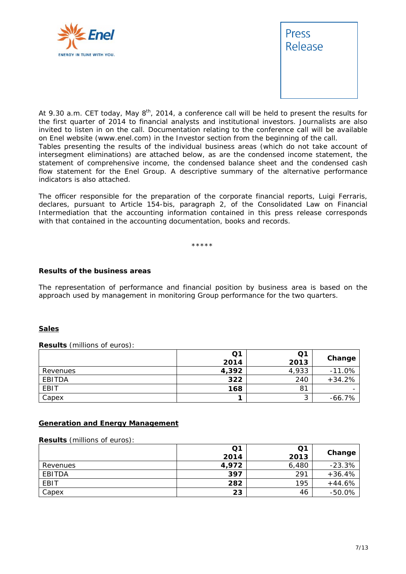



*At 9.30 a.m. CET today, May 8th, 2014, a conference call will be held to present the results for the first quarter of 2014 to financial analysts and institutional investors. Journalists are also*  invited to listen in on the call. Documentation relating to the conference call will be available *on Enel website (www.enel.com) in the Investor section from the beginning of the call.* 

*Tables presenting the results of the individual business areas (which do not take account of intersegment eliminations) are attached below, as are the condensed income statement, the statement of comprehensive income, the condensed balance sheet and the condensed cash flow statement for the Enel Group. A descriptive summary of the alternative performance indicators is also attached.* 

*The officer responsible for the preparation of the corporate financial reports, Luigi Ferraris, declares, pursuant to Article 154-bis, paragraph 2, of the Consolidated Law on Financial Intermediation that the accounting information contained in this press release corresponds with that contained in the accounting documentation, books and records.* 

\*\*\*\*\*

#### **Results of the business areas**

The representation of performance and financial position by business area is based on the approach used by management in monitoring Group performance for the two quarters.

#### **Sales**

#### **Results** (millions of euros):

|          | Q1    | Q1     |           |
|----------|-------|--------|-----------|
|          | 2014  | 2013   | Change    |
| Revenues | 4,392 | 4,933  | $-11.0%$  |
| EBITDA   | 322   | 240    | $+34.2%$  |
| EBIT     | 168   | 81     |           |
| Capex    |       | ົ<br>ٮ | $-66.7\%$ |

#### **Generation and Energy Management**

#### **Results** (millions of euros):

|          | Q1<br>2014 | Q1<br>2013 | Change   |
|----------|------------|------------|----------|
| Revenues | 4,972      | 6,480      | $-23.3%$ |
| EBITDA   | 397        | 291        | $+36.4%$ |
| EBIT     | 282        | 195        | $+44.6%$ |
| Capex    | 23         | 46         | $-50.0%$ |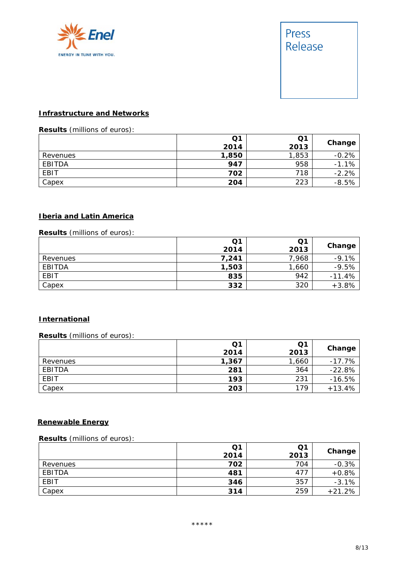



#### **Infrastructure and Networks**

# **Results** (millions of euros):

|          | Q <sub>1</sub> | Q1    | Change  |
|----------|----------------|-------|---------|
|          | 2014           | 2013  |         |
| Revenues | 1,850          | 1,853 | $-0.2%$ |
| EBITDA   | 947            | 958   | $-1.1%$ |
| EBIT     | 702            | 718   | $-2.2%$ |
| Capex    | 204            | 223   | $-8.5%$ |

## **Iberia and Latin America**

### **Results** (millions of euros):

|          | Q1    | Q1    |          |
|----------|-------|-------|----------|
|          | 2014  | 2013  | Change   |
| Revenues | 7.241 | 7,968 | $-9.1%$  |
| EBITDA   | 1,503 | 1,660 | $-9.5%$  |
| EBIT     | 835   | 942   | $-11.4%$ |
| Capex    | 332   | 320   | $+3.8%$  |

### **International**

#### **Results** (millions of euros):

|             | Q1<br>2014 | Q <sub>1</sub><br>2013 | Change   |
|-------------|------------|------------------------|----------|
| Revenues    | 1,367      | 1,660                  | $-17.7%$ |
| EBITDA      | 281        | 364                    | $-22.8%$ |
| <b>EBIT</b> | 193        | 231                    | $-16.5%$ |
| Capex       | 203        | 179                    | $+13.4%$ |

### **Renewable Energy**

#### **Results** (millions of euros):

|          | Q1<br>2014 | Q1<br>2013 | Change   |
|----------|------------|------------|----------|
| Revenues | 702        | 704        | $-0.3%$  |
| EBITDA   | 481        | 477        | $+0.8%$  |
| EBIT     | 346        | 357        | $-3.1%$  |
| Capex    | 314        | 259        | $+21.2%$ |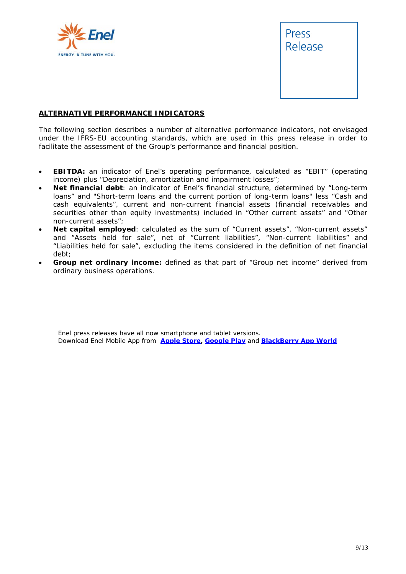



### **ALTERNATIVE PERFORMANCE INDICATORS**

The following section describes a number of alternative performance indicators, not envisaged under the IFRS-EU accounting standards, which are used in this press release in order to facilitate the assessment of the Group's performance and financial position.

- **EBITDA:** an indicator of Enel's operating performance, calculated as "EBIT" (operating income) plus "Depreciation, amortization and impairment losses";
- **Net financial debt**: an indicator of Enel's financial structure, determined by "Long-term loans" and "Short-term loans and the current portion of long-term loans" less "Cash and cash equivalents", current and non-current financial assets (financial receivables and securities other than equity investments) included in "Other current assets" and "Other non-current assets";
- **Net capital employed**: calculated as the sum of "Current assets", "Non-current assets" and "Assets held for sale", net of "Current liabilities", "Non-current liabilities" and "Liabilities held for sale", excluding the items considered in the definition of net financial debt;
- **Group net ordinary income:** defined as that part of "Group net income" derived from ordinary business operations.

Enel press releases have all now smartphone and tablet versions. Download Enel Mobile App from **Apple Store, Google Play** and **BlackBerry App World**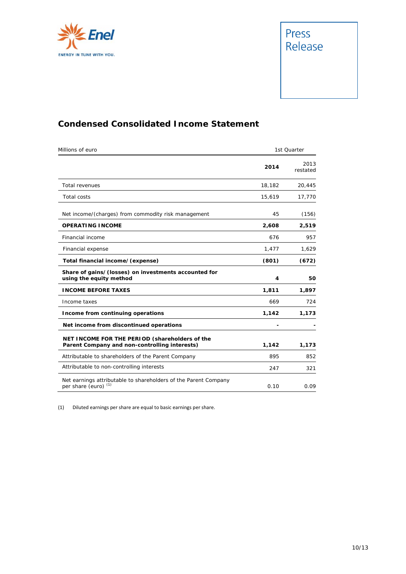![](_page_9_Picture_0.jpeg)

![](_page_9_Picture_1.jpeg)

## **Condensed Consolidated Income Statement**

| Millions of euro                                                                                   | 1st Quarter |                  |
|----------------------------------------------------------------------------------------------------|-------------|------------------|
|                                                                                                    | 2014        | 2013<br>restated |
| Total revenues                                                                                     | 18,182      | 20,445           |
| <b>Total costs</b>                                                                                 | 15,619      | 17,770           |
| Net income/(charges) from commodity risk management                                                | 45          | (156)            |
| <b>OPERATING INCOME</b>                                                                            | 2,608       | 2,519            |
| Financial income                                                                                   | 676         | 957              |
| Financial expense                                                                                  | 1,477       | 1,629            |
| Total financial income/(expense)                                                                   | (801)       | (672)            |
| Share of gains/(losses) on investments accounted for<br>using the equity method                    | 4           | 50               |
| <b>INCOME BEFORE TAXES</b>                                                                         | 1,811       | 1,897            |
| Income taxes                                                                                       | 669         | 724              |
| Income from continuing operations                                                                  | 1,142       | 1,173            |
| Net income from discontinued operations                                                            |             |                  |
| NET INCOME FOR THE PERIOD (shareholders of the<br>Parent Company and non-controlling interests)    | 1,142       | 1,173            |
| Attributable to shareholders of the Parent Company                                                 | 895         | 852              |
| Attributable to non-controlling interests                                                          | 247         | 321              |
| Net earnings attributable to shareholders of the Parent Company<br>per share (euro) <sup>(1)</sup> | 0.10        | 0.09             |

(1) Diluted earnings per share are equal to basic earnings per share.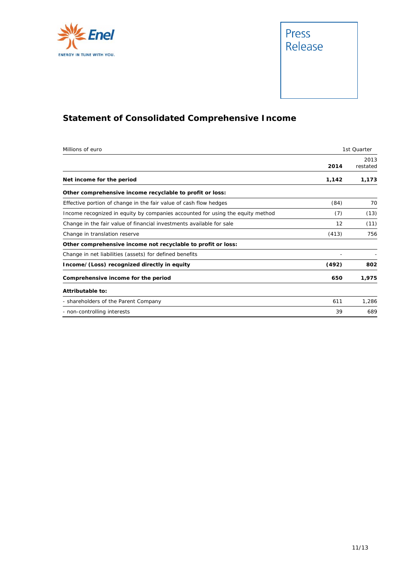![](_page_10_Picture_0.jpeg)

![](_page_10_Picture_1.jpeg)

# **Statement of Consolidated Comprehensive Income**

| Millions of euro                                                               | 1st Quarter |                  |
|--------------------------------------------------------------------------------|-------------|------------------|
|                                                                                | 2014        | 2013<br>restated |
| Net income for the period                                                      | 1,142       | 1,173            |
| Other comprehensive income recyclable to profit or loss:                       |             |                  |
| Effective portion of change in the fair value of cash flow hedges              | (84)        | 70               |
| Income recognized in equity by companies accounted for using the equity method | (7)         | (13)             |
| Change in the fair value of financial investments available for sale           | 12          | (11)             |
| Change in translation reserve                                                  | (413)       | 756              |
| Other comprehensive income not recyclable to profit or loss:                   |             |                  |
| Change in net liabilities (assets) for defined benefits                        |             |                  |
| Income/(Loss) recognized directly in equity                                    | (492)       | 802              |
| Comprehensive income for the period                                            | 650         | 1,975            |
| Attributable to:                                                               |             |                  |
| - shareholders of the Parent Company                                           | 611         | 1,286            |
| - non-controlling interests                                                    | 39          | 689              |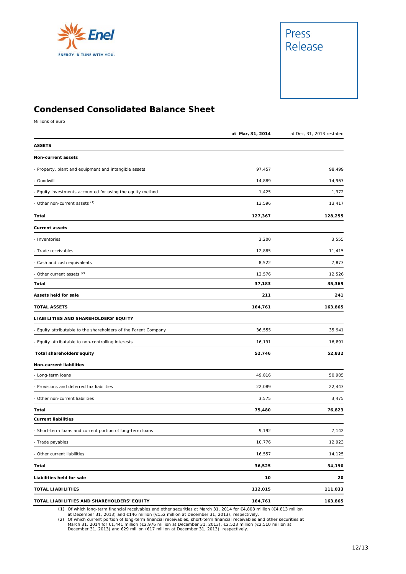![](_page_11_Picture_0.jpeg)

![](_page_11_Picture_1.jpeg)

## **Condensed Consolidated Balance Sheet**

Millions of euro

|                                                                 | at Mar, 31, 2014 | at Dec, 31, 2013 restated |
|-----------------------------------------------------------------|------------------|---------------------------|
| <b>ASSETS</b>                                                   |                  |                           |
| Non-current assets                                              |                  |                           |
| - Property, plant and equipment and intangible assets           | 97,457           | 98,499                    |
| - Goodwill                                                      | 14,889           | 14,967                    |
| - Equity investments accounted for using the equity method      | 1,425            | 1,372                     |
| - Other non-current assets (1)                                  | 13,596           | 13,417                    |
| Total                                                           | 127,367          | 128,255                   |
| <b>Current assets</b>                                           |                  |                           |
| - Inventories                                                   | 3,200            | 3,555                     |
| - Trade receivables                                             | 12,885           | 11,415                    |
| - Cash and cash equivalents                                     | 8,522            | 7,873                     |
| - Other current assets <sup>(2)</sup>                           | 12,576           | 12,526                    |
| Total                                                           | 37,183           | 35,369                    |
| Assets held for sale                                            | 211              | 241                       |
| <b>TOTAL ASSETS</b>                                             | 164,761          | 163,865                   |
| LIABILITIES AND SHAREHOLDERS' EQUITY                            |                  |                           |
| - Equity attributable to the shareholders of the Parent Company | 36,555           | 35,941                    |
| - Equity attributable to non-controlling interests              | 16,191           | 16,891                    |
| Total shareholders'equity                                       | 52,746           | 52,832                    |
| Non-current liabilities                                         |                  |                           |
| - Long-term loans                                               | 49,816           | 50,905                    |
| - Provisions and deferred tax liabilities                       | 22,089           | 22,443                    |
| - Other non-current liabilities                                 | 3,575            | 3,475                     |
| Total                                                           | 75,480           | 76,823                    |
| <b>Current liabilities</b>                                      |                  |                           |
| - Short-term loans and current portion of long-term loans       | 9,192            | 7,142                     |
| - Trade payables                                                | 10,776           | 12,923                    |
| - Other current liabilities                                     | 16,557           | 14,125                    |
| Total                                                           | 36,525           | 34,190                    |
| Liabilities held for sale                                       | 10               | 20                        |
| <b>TOTAL LIABILITIES</b>                                        | 112,015          | 111,033                   |
| TOTAL LIABILITIES AND SHAREHOLDERS' EQUITY                      | 164,761          | 163,865                   |

(1) Of which long-term financial receivables and other securities at March 31, 2014 for €4,808 million (€4,813 million

at December 31, 2013) and €146 million (€152 million at December 31, 2013), respectively.<br>(2) Of which current portion of long-term financial receivables, short-term financial receivables and other securities at<br>March 31